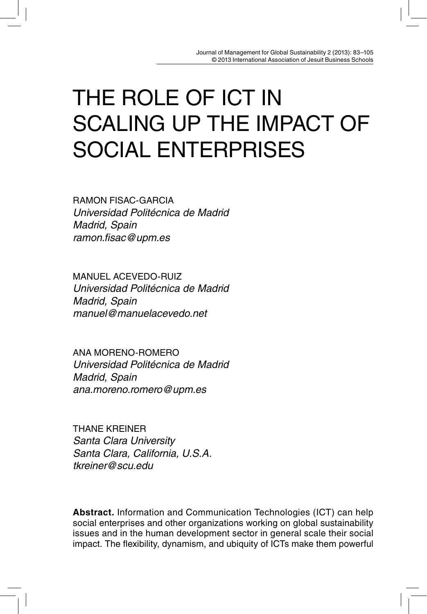# THE ROLE OF ICT IN SCALING UP THE IMPACT OF SOCIAL ENTERPRISES

RAMON FISAC-GARCIA Universidad Politécnica de Madrid Madrid, Spain ramon.fisac@upm.es

MANUEL ACEVEDO-RUIZ Universidad Politécnica de Madrid Madrid, Spain manuel@manuelacevedo.net

ANA MORENO-ROMERO Universidad Politécnica de Madrid Madrid, Spain ana.moreno.romero@upm.es

THANE KREINER Santa Clara University Santa Clara, California, U.S.A. tkreiner@scu.edu

**Abstract.** Information and Communication Technologies (ICT) can help social enterprises and other organizations working on global sustainability issues and in the human development sector in general scale their social impact. The flexibility, dynamism, and ubiquity of ICTs make them powerful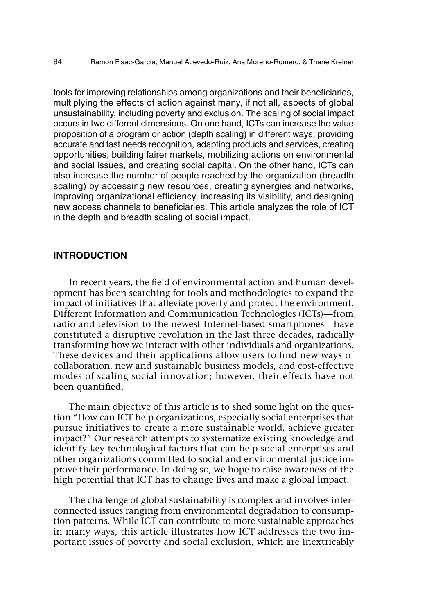tools for improving relationships among organizations and their beneficiaries, multiplying the effects of action against many, if not all, aspects of global unsustainability, including poverty and exclusion. The scaling of social impact occurs in two different dimensions. On one hand, ICTs can increase the value proposition of a program or action (depth scaling) in different ways: providing accurate and fast needs recognition, adapting products and services, creating opportunities, building fairer markets, mobilizing actions on environmental and social issues, and creating social capital. On the other hand, ICTs can also increase the number of people reached by the organization (breadth scaling) by accessing new resources, creating synergies and networks, improving organizational efficiency, increasing its visibility, and designing new access channels to beneficiaries. This article analyzes the role of ICT in the depth and breadth scaling of social impact.

# **INTRODUCTION**

In recent years, the field of environmental action and human development has been searching for tools and methodologies to expand the impact of initiatives that alleviate poverty and protect the environment. Different Information and Communication Technologies (ICTs)—from radio and television to the newest Internet-based smartphones—have constituted a disruptive revolution in the last three decades, radically transforming how we interact with other individuals and organizations. These devices and their applications allow users to find new ways of collaboration, new and sustainable business models, and cost-effective modes of scaling social innovation; however, their effects have not been quantified.

The main objective of this article is to shed some light on the question "How can ICT help organizations, especially social enterprises that pursue initiatives to create a more sustainable world, achieve greater impact?" Our research attempts to systematize existing knowledge and identify key technological factors that can help social enterprises and other organizations committed to social and environmental justice improve their performance. In doing so, we hope to raise awareness of the high potential that ICT has to change lives and make a global impact.

The challenge of global sustainability is complex and involves interconnected issues ranging from environmental degradation to consumption patterns. While ICT can contribute to more sustainable approaches in many ways, this article illustrates how ICT addresses the two important issues of poverty and social exclusion, which are inextricably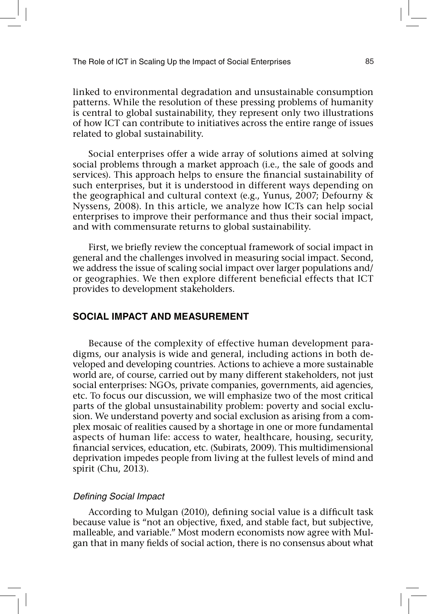linked to environmental degradation and unsustainable consumption patterns. While the resolution of these pressing problems of humanity is central to global sustainability, they represent only two illustrations of how ICT can contribute to initiatives across the entire range of issues related to global sustainability.

Social enterprises offer a wide array of solutions aimed at solving social problems through a market approach (i.e., the sale of goods and services). This approach helps to ensure the financial sustainability of such enterprises, but it is understood in different ways depending on the geographical and cultural context (e.g., Yunus, 2007; Defourny & Nyssens, 2008). In this article, we analyze how ICTs can help social enterprises to improve their performance and thus their social impact, and with commensurate returns to global sustainability.

First, we briefly review the conceptual framework of social impact in general and the challenges involved in measuring social impact. Second, we address the issue of scaling social impact over larger populations and/ or geographies. We then explore different beneficial effects that ICT provides to development stakeholders.

# **SOCIAL IMPACT AND MEASUREMENT**

Because of the complexity of effective human development paradigms, our analysis is wide and general, including actions in both developed and developing countries. Actions to achieve a more sustainable world are, of course, carried out by many different stakeholders, not just social enterprises: NGOs, private companies, governments, aid agencies, etc. To focus our discussion, we will emphasize two of the most critical parts of the global unsustainability problem: poverty and social exclusion. We understand poverty and social exclusion as arising from a complex mosaic of realities caused by a shortage in one or more fundamental aspects of human life: access to water, healthcare, housing, security, !nancial services, education, etc. (Subirats, 2009). This multidimensional deprivation impedes people from living at the fullest levels of mind and spirit (Chu, 2013).

# Defining Social Impact

According to Mulgan (2010), defining social value is a difficult task because value is "not an objective, fixed, and stable fact, but subjective, malleable, and variable." Most modern economists now agree with Mulgan that in many fields of social action, there is no consensus about what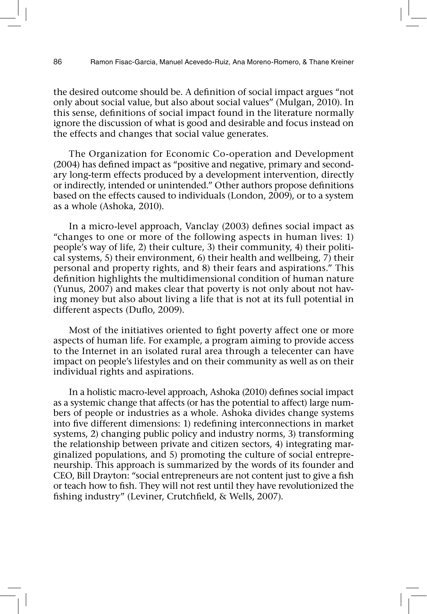the desired outcome should be. A definition of social impact argues "not only about social value, but also about social values" (Mulgan, 2010). In this sense, definitions of social impact found in the literature normally ignore the discussion of what is good and desirable and focus instead on the effects and changes that social value generates.

The Organization for Economic Co-operation and Development (2004) has defined impact as "positive and negative, primary and secondary long-term effects produced by a development intervention, directly or indirectly, intended or unintended." Other authors propose definitions based on the effects caused to individuals (London, 2009), or to a system as a whole (Ashoka, 2010).

In a micro-level approach, Vanclay (2003) defines social impact as "changes to one or more of the following aspects in human lives: 1) people's way of life, 2) their culture, 3) their community, 4) their political systems, 5) their environment, 6) their health and wellbeing, 7) their personal and property rights, and 8) their fears and aspirations." This definition highlights the multidimensional condition of human nature (Yunus, 2007) and makes clear that poverty is not only about not having money but also about living a life that is not at its full potential in different aspects (Duflo, 2009).

Most of the initiatives oriented to fight poverty affect one or more aspects of human life. For example, a program aiming to provide access to the Internet in an isolated rural area through a telecenter can have impact on people's lifestyles and on their community as well as on their individual rights and aspirations.

In a holistic macro-level approach, Ashoka (2010) defines social impact as a systemic change that affects (or has the potential to affect) large numbers of people or industries as a whole. Ashoka divides change systems into five different dimensions: 1) redefining interconnections in market systems, 2) changing public policy and industry norms, 3) transforming the relationship between private and citizen sectors, 4) integrating marginalized populations, and 5) promoting the culture of social entrepreneurship. This approach is summarized by the words of its founder and CEO, Bill Drayton: "social entrepreneurs are not content just to give a fish or teach how to fish. They will not rest until they have revolutionized the fishing industry" (Leviner, Crutchfield, & Wells, 2007).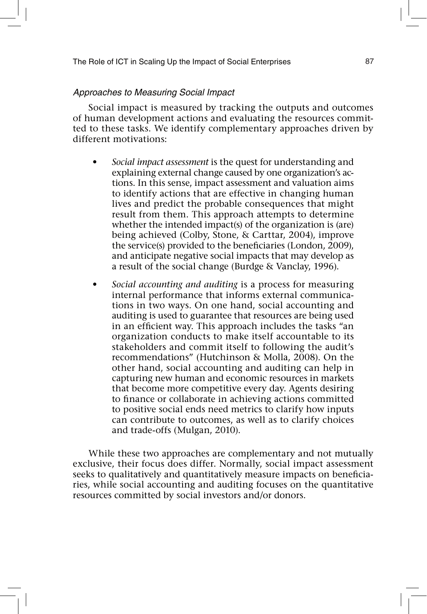# Approaches to Measuring Social Impact

Social impact is measured by tracking the outputs and outcomes of human development actions and evaluating the resources committed to these tasks. We identify complementary approaches driven by different motivations:

- *t Social impact assessment* is the quest for understanding and explaining external change caused by one organization's actions. In this sense, impact assessment and valuation aims to identify actions that are effective in changing human lives and predict the probable consequences that might result from them. This approach attempts to determine whether the intended impact(s) of the organization is (are) being achieved (Colby, Stone, & Carttar, 2004), improve the service(s) provided to the beneficiaries (London, 2009), and anticipate negative social impacts that may develop as a result of the social change (Burdge & Vanclay, 1996).
- *t Social accounting and auditing* is a process for measuring internal performance that informs external communications in two ways. On one hand, social accounting and auditing is used to guarantee that resources are being used in an efficient way. This approach includes the tasks "an organization conducts to make itself accountable to its stakeholders and commit itself to following the audit's recommendations" (Hutchinson & Molla, 2008). On the other hand, social accounting and auditing can help in capturing new human and economic resources in markets that become more competitive every day. Agents desiring to finance or collaborate in achieving actions committed to positive social ends need metrics to clarify how inputs can contribute to outcomes, as well as to clarify choices and trade-offs (Mulgan, 2010).

While these two approaches are complementary and not mutually exclusive, their focus does differ. Normally, social impact assessment seeks to qualitatively and quantitatively measure impacts on beneficiaries, while social accounting and auditing focuses on the quantitative resources committed by social investors and/or donors.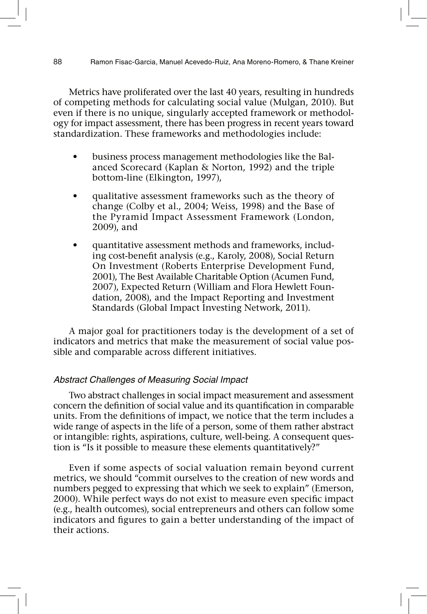Metrics have proliferated over the last 40 years, resulting in hundreds of competing methods for calculating social value (Mulgan, 2010). But even if there is no unique, singularly accepted framework or methodology for impact assessment, there has been progress in recent years toward standardization. These frameworks and methodologies include:

- business process management methodologies like the Balanced Scorecard (Kaplan & Norton, 1992) and the triple bottom-line (Elkington, 1997),
- qualitative assessment frameworks such as the theory of change (Colby et al., 2004; Weiss, 1998) and the Base of the Pyramid Impact Assessment Framework (London, 2009), and
- quantitative assessment methods and frameworks, including cost-benefit analysis (e.g., Karoly, 2008), Social Return On Investment (Roberts Enterprise Development Fund, 2001), The Best Available Charitable Option (Acumen Fund, 2007), Expected Return (William and Flora Hewlett Foundation, 2008), and the Impact Reporting and Investment Standards (Global Impact Investing Network, 2011).

A major goal for practitioners today is the development of a set of indicators and metrics that make the measurement of social value possible and comparable across different initiatives.

# Abstract Challenges of Measuring Social Impact

Two abstract challenges in social impact measurement and assessment concern the definition of social value and its quantification in comparable units. From the definitions of impact, we notice that the term includes a wide range of aspects in the life of a person, some of them rather abstract or intangible: rights, aspirations, culture, well-being. A consequent question is "Is it possible to measure these elements quantitatively?"

Even if some aspects of social valuation remain beyond current metrics, we should "commit ourselves to the creation of new words and numbers pegged to expressing that which we seek to explain" (Emerson, 2000). While perfect ways do not exist to measure even specific impact (e.g., health outcomes), social entrepreneurs and others can follow some indicators and figures to gain a better understanding of the impact of their actions.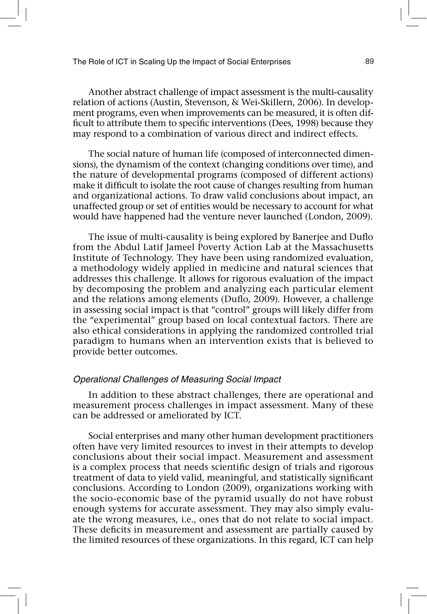Another abstract challenge of impact assessment is the multi-causality relation of actions (Austin, Stevenson, & Wei-Skillern, 2006). In development programs, even when improvements can be measured, it is often dif ficult to attribute them to specific interventions (Dees, 1998) because they may respond to a combination of various direct and indirect effects.

The social nature of human life (composed of interconnected dimensions), the dynamism of the context (changing conditions over time), and the nature of developmental programs (composed of different actions) make it difficult to isolate the root cause of changes resulting from human and organizational actions. To draw valid conclusions about impact, an unaffected group or set of entities would be necessary to account for what would have happened had the venture never launched (London, 2009).

The issue of multi-causality is being explored by Banerjee and Duflo from the Abdul Latif Jameel Poverty Action Lab at the Massachusetts Institute of Technology. They have been using randomized evaluation, a methodology widely applied in medicine and natural sciences that addresses this challenge. It allows for rigorous evaluation of the impact by decomposing the problem and analyzing each particular element and the relations among elements (Duflo, 2009). However, a challenge in assessing social impact is that "control" groups will likely differ from the "experimental" group based on local contextual factors. There are also ethical considerations in applying the randomized controlled trial paradigm to humans when an intervention exists that is believed to provide better outcomes.

### Operational Challenges of Measuring Social Impact

In addition to these abstract challenges, there are operational and measurement process challenges in impact assessment. Many of these can be addressed or ameliorated by ICT.

Social enterprises and many other human development practitioners often have very limited resources to invest in their attempts to develop conclusions about their social impact. Measurement and assessment is a complex process that needs scientific design of trials and rigorous treatment of data to yield valid, meaningful, and statistically significant conclusions. According to London (2009), organizations working with the socio-economic base of the pyramid usually do not have robust enough systems for accurate assessment. They may also simply evaluate the wrong measures, i.e., ones that do not relate to social impact. These deficits in measurement and assessment are partially caused by the limited resources of these organizations. In this regard, ICT can help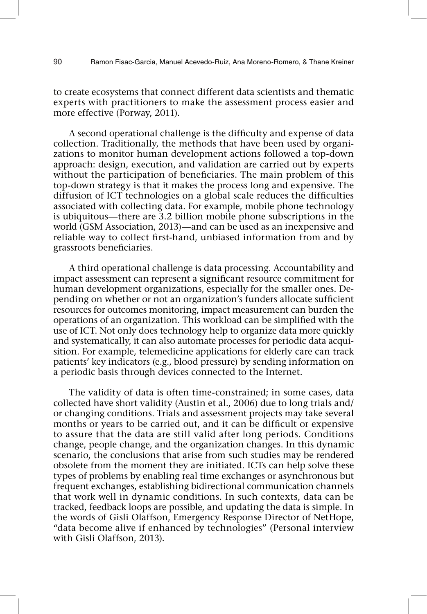to create ecosystems that connect different data scientists and thematic experts with practitioners to make the assessment process easier and more effective (Porway, 2011).

A second operational challenge is the difficulty and expense of data collection. Traditionally, the methods that have been used by organizations to monitor human development actions followed a top-down approach: design, execution, and validation are carried out by experts without the participation of beneficiaries. The main problem of this top-down strategy is that it makes the process long and expensive. The diffusion of ICT technologies on a global scale reduces the difficulties associated with collecting data. For example, mobile phone technology is ubiquitous—there are 3.2 billion mobile phone subscriptions in the world (GSM Association, 2013)—and can be used as an inexpensive and reliable way to collect first-hand, unbiased information from and by grassroots beneficiaries.

A third operational challenge is data processing. Accountability and impact assessment can represent a significant resource commitment for human development organizations, especially for the smaller ones. Depending on whether or not an organization's funders allocate sufficient resources for outcomes monitoring, impact measurement can burden the operations of an organization. This workload can be simplified with the use of ICT. Not only does technology help to organize data more quickly and systematically, it can also automate processes for periodic data acquisition. For example, telemedicine applications for elderly care can track patients' key indicators (e.g., blood pressure) by sending information on a periodic basis through devices connected to the Internet.

The validity of data is often time-constrained; in some cases, data collected have short validity (Austin et al., 2006) due to long trials and/ or changing conditions. Trials and assessment projects may take several months or years to be carried out, and it can be difficult or expensive to assure that the data are still valid after long periods. Conditions change, people change, and the organization changes. In this dynamic scenario, the conclusions that arise from such studies may be rendered obsolete from the moment they are initiated. ICTs can help solve these types of problems by enabling real time exchanges or asynchronous but frequent exchanges, establishing bidirectional communication channels that work well in dynamic conditions. In such contexts, data can be tracked, feedback loops are possible, and updating the data is simple. In the words of Gisli Olaffson, Emergency Response Director of NetHope, "data become alive if enhanced by technologies" (Personal interview with Gisli Olaffson, 2013).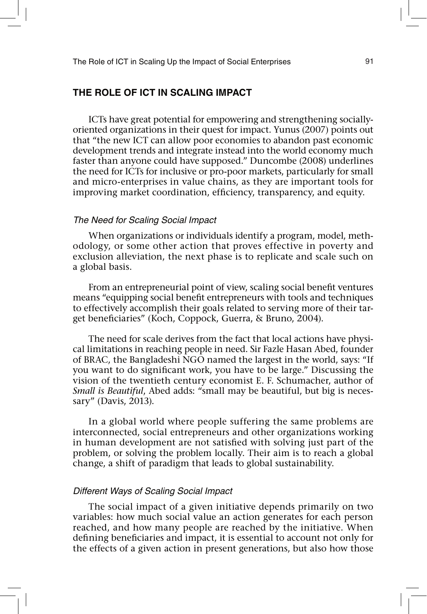# **THE ROLE OF ICT IN SCALING IMPACT**

ICTs have great potential for empowering and strengthening sociallyoriented organizations in their quest for impact. Yunus (2007) points out that "the new ICT can allow poor economies to abandon past economic development trends and integrate instead into the world economy much faster than anyone could have supposed." Duncombe (2008) underlines the need for ICTs for inclusive or pro-poor markets, particularly for small and micro-enterprises in value chains, as they are important tools for improving market coordination, efficiency, transparency, and equity.

#### The Need for Scaling Social Impact

When organizations or individuals identify a program, model, methodology, or some other action that proves effective in poverty and exclusion alleviation, the next phase is to replicate and scale such on a global basis.

From an entrepreneurial point of view, scaling social benefit ventures means "equipping social benefit entrepreneurs with tools and techniques to effectively accomplish their goals related to serving more of their target beneficiaries" (Koch, Coppock, Guerra, & Bruno, 2004).

The need for scale derives from the fact that local actions have physical limitations in reaching people in need. Sir Fazle Hasan Abed, founder of BRAC, the Bangladeshi NGO named the largest in the world, says: "If you want to do significant work, you have to be large." Discussing the vision of the twentieth century economist E. F. Schumacher, author of *Small is Beautiful*, Abed adds: "small may be beautiful, but big is necessary" (Davis, 2013).

In a global world where people suffering the same problems are interconnected, social entrepreneurs and other organizations working in human development are not satisfied with solving just part of the problem, or solving the problem locally. Their aim is to reach a global change, a shift of paradigm that leads to global sustainability.

#### Different Ways of Scaling Social Impact

The social impact of a given initiative depends primarily on two variables: how much social value an action generates for each person reached, and how many people are reached by the initiative. When defining beneficiaries and impact, it is essential to account not only for the effects of a given action in present generations, but also how those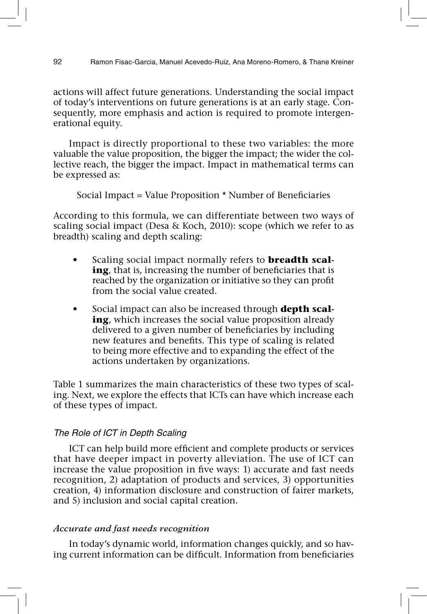actions will affect future generations. Understanding the social impact of today's interventions on future generations is at an early stage. Consequently, more emphasis and action is required to promote intergenerational equity.

Impact is directly proportional to these two variables: the more valuable the value proposition, the bigger the impact; the wider the collective reach, the bigger the impact. Impact in mathematical terms can be expressed as:

Social Impact = Value Proposition  $*$  Number of Beneficiaries

According to this formula, we can differentiate between two ways of scaling social impact (Desa & Koch, 2010): scope (which we refer to as breadth) scaling and depth scaling:

- Scaling social impact normally refers to **breadth scaling**, that is, increasing the number of beneficiaries that is reached by the organization or initiative so they can profit from the social value created.
- Social impact can also be increased through **depth scaling**, which increases the social value proposition already delivered to a given number of beneficiaries by including new features and benefits. This type of scaling is related to being more effective and to expanding the effect of the actions undertaken by organizations.

Table 1 summarizes the main characteristics of these two types of scaling. Next, we explore the effects that ICTs can have which increase each of these types of impact.

# The Role of ICT in Depth Scaling

ICT can help build more efficient and complete products or services that have deeper impact in poverty alleviation. The use of ICT can increase the value proposition in five ways: 1) accurate and fast needs recognition, 2) adaptation of products and services, 3) opportunities creation, 4) information disclosure and construction of fairer markets, and 5) inclusion and social capital creation.

# *Accurate and fast needs recognition*

In today's dynamic world, information changes quickly, and so having current information can be difficult. Information from beneficiaries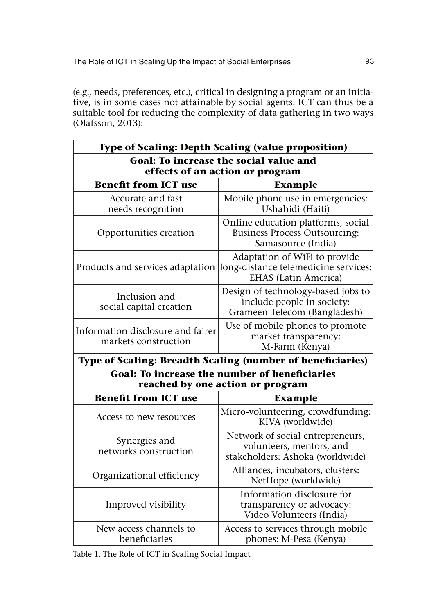(e.g., needs, preferences, etc.), critical in designing a program or an initiative, is in some cases not attainable by social agents. ICT can thus be a suitable tool for reducing the complexity of data gathering in two ways (Olafsson, 2013):

| <b>Type of Scaling: Depth Scaling (value proposition)</b>                                |                                                                                                      |
|------------------------------------------------------------------------------------------|------------------------------------------------------------------------------------------------------|
| Goal: To increase the social value and<br>effects of an action or program                |                                                                                                      |
| <b>Benefit from ICT use</b>                                                              | <b>Example</b>                                                                                       |
| Accurate and fast<br>needs recognition                                                   | Mobile phone use in emergencies:<br>Ushahidi (Haiti)                                                 |
| Opportunities creation                                                                   | Online education platforms, social<br><b>Business Process Outsourcing:</b><br>Samasource (India)     |
| Products and services adaptation                                                         | Adaptation of WiFi to provide<br>long-distance telemedicine services:<br><b>EHAS</b> (Latin America) |
| Inclusion and<br>social capital creation                                                 | Design of technology-based jobs to<br>include people in society:<br>Grameen Telecom (Bangladesh)     |
| Information disclosure and fairer<br>markets construction                                | Use of mobile phones to promote<br>market transparency:<br>M-Farm (Kenya)                            |
| Type of Scaling: Breadth Scaling (number of beneficiaries)                               |                                                                                                      |
| <b>Goal: To increase the number of beneficiaries</b><br>reached by one action or program |                                                                                                      |
| <b>Benefit from ICT use</b>                                                              | <b>Example</b>                                                                                       |
| Access to new resources                                                                  | Micro-volunteering, crowdfunding:<br>KIVA (worldwide)                                                |
| Synergies and<br>networks construction                                                   | Network of social entrepreneurs,<br>volunteers, mentors, and<br>stakeholders: Ashoka (worldwide)     |
| Organizational efficiency                                                                | Alliances, incubators, clusters:<br>NetHope (worldwide)                                              |
| Improved visibility                                                                      | Information disclosure for<br>transparency or advocacy:<br>Video Volunteers (India)                  |
| New access channels to<br>beneficiaries                                                  | Access to services through mobile<br>phones: M-Pesa (Kenya)                                          |

Table 1. The Role of ICT in Scaling Social Impact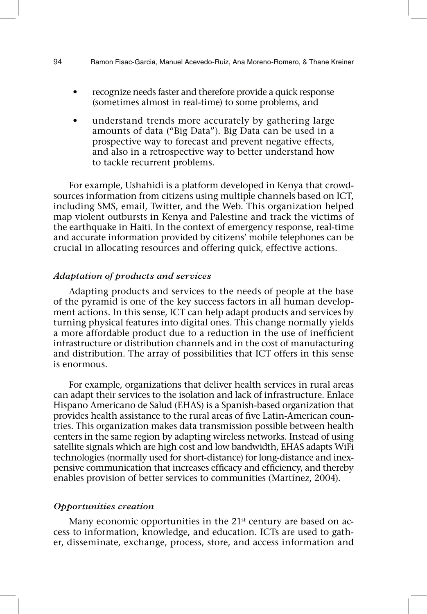## 94 Ramon Fisac-Garcia, Manuel Acevedo-Ruiz, Ana Moreno-Romero, & Thane Kreiner

- recognize needs faster and therefore provide a quick response (sometimes almost in real-time) to some problems, and
- understand trends more accurately by gathering large amounts of data ("Big Data"). Big Data can be used in a prospective way to forecast and prevent negative effects, and also in a retrospective way to better understand how to tackle recurrent problems.

For example, Ushahidi is a platform developed in Kenya that crowdsources information from citizens using multiple channels based on ICT, including SMS, email, Twitter, and the Web. This organization helped map violent outbursts in Kenya and Palestine and track the victims of the earthquake in Haiti. In the context of emergency response, real-time and accurate information provided by citizens' mobile telephones can be crucial in allocating resources and offering quick, effective actions.

#### *Adaptation of products and services*

Adapting products and services to the needs of people at the base of the pyramid is one of the key success factors in all human development actions. In this sense, ICT can help adapt products and services by turning physical features into digital ones. This change normally yields a more affordable product due to a reduction in the use of inefficient infrastructure or distribution channels and in the cost of manufacturing and distribution. The array of possibilities that ICT offers in this sense is enormous.

For example, organizations that deliver health services in rural areas can adapt their services to the isolation and lack of infrastructure. Enlace Hispano Americano de Salud (EHAS) is a Spanish-based organization that provides health assistance to the rural areas of five Latin-American countries. This organization makes data transmission possible between health centers in the same region by adapting wireless networks. Instead of using satellite signals which are high cost and low bandwidth, EHAS adapts WiFi technologies (normally used for short-distance) for long-distance and inexpensive communication that increases efficacy and efficiency, and thereby enables provision of better services to communities (Martínez, 2004).

#### *Opportunities creation*

Many economic opportunities in the  $21<sup>st</sup>$  century are based on access to information, knowledge, and education. ICTs are used to gather, disseminate, exchange, process, store, and access information and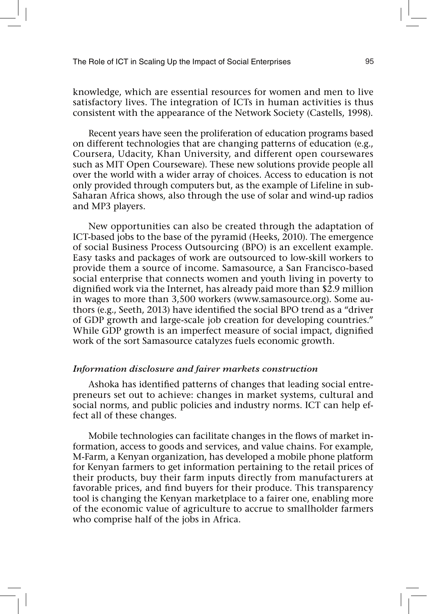knowledge, which are essential resources for women and men to live satisfactory lives. The integration of ICTs in human activities is thus consistent with the appearance of the Network Society (Castells, 1998).

Recent years have seen the proliferation of education programs based on different technologies that are changing patterns of education (e.g., Coursera, Udacity, Khan University, and different open coursewares such as MIT Open Courseware). These new solutions provide people all over the world with a wider array of choices. Access to education is not only provided through computers but, as the example of Lifeline in sub-Saharan Africa shows, also through the use of solar and wind-up radios and MP3 players.

New opportunities can also be created through the adaptation of ICT-based jobs to the base of the pyramid (Heeks, 2010). The emergence of social Business Process Outsourcing (BPO) is an excellent example. Easy tasks and packages of work are outsourced to low-skill workers to provide them a source of income. Samasource, a San Francisco-based social enterprise that connects women and youth living in poverty to dignified work via the Internet, has already paid more than \$2.9 million in wages to more than 3,500 workers (www.samasource.org). Some authors (e.g., Seeth, 2013) have identified the social BPO trend as a "driver of GDP growth and large-scale job creation for developing countries." While GDP growth is an imperfect measure of social impact, dignified work of the sort Samasource catalyzes fuels economic growth.

# *Information disclosure and fairer markets construction*

Ashoka has identified patterns of changes that leading social entrepreneurs set out to achieve: changes in market systems, cultural and social norms, and public policies and industry norms. ICT can help effect all of these changes.

Mobile technologies can facilitate changes in the flows of market information, access to goods and services, and value chains. For example, M-Farm, a Kenyan organization, has developed a mobile phone platform for Kenyan farmers to get information pertaining to the retail prices of their products, buy their farm inputs directly from manufacturers at favorable prices, and find buyers for their produce. This transparency tool is changing the Kenyan marketplace to a fairer one, enabling more of the economic value of agriculture to accrue to smallholder farmers who comprise half of the jobs in Africa.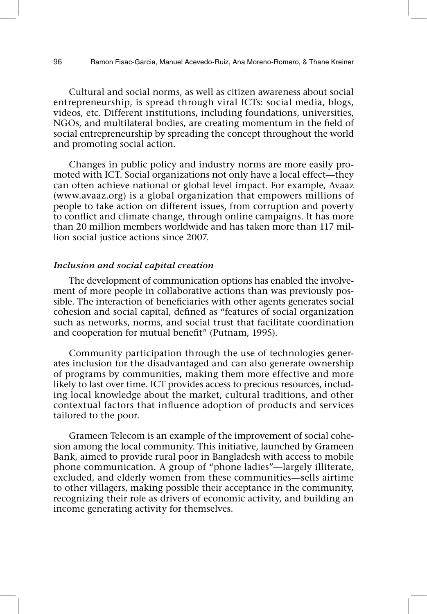Cultural and social norms, as well as citizen awareness about social entrepreneurship, is spread through viral ICTs: social media, blogs, videos, etc. Different institutions, including foundations, universities, NGOs, and multilateral bodies, are creating momentum in the field of social entrepreneurship by spreading the concept throughout the world and promoting social action.

Changes in public policy and industry norms are more easily promoted with ICT. Social organizations not only have a local effect—they can often achieve national or global level impact. For example, Avaaz (www.avaaz.org) is a global organization that empowers millions of people to take action on different issues, from corruption and poverty to conflict and climate change, through online campaigns. It has more than 20 million members worldwide and has taken more than 117 million social justice actions since 2007.

#### *Inclusion and social capital creation*

The development of communication options has enabled the involvement of more people in collaborative actions than was previously possible. The interaction of beneficiaries with other agents generates social cohesion and social capital, defined as "features of social organization such as networks, norms, and social trust that facilitate coordination and cooperation for mutual benefit" (Putnam, 1995).

Community participation through the use of technologies generates inclusion for the disadvantaged and can also generate ownership of programs by communities, making them more effective and more likely to last over time. ICT provides access to precious resources, including local knowledge about the market, cultural traditions, and other contextual factors that influence adoption of products and services tailored to the poor.

Grameen Telecom is an example of the improvement of social cohesion among the local community. This initiative, launched by Grameen Bank, aimed to provide rural poor in Bangladesh with access to mobile phone communication. A group of "phone ladies"—largely illiterate, excluded, and elderly women from these communities—sells airtime to other villagers, making possible their acceptance in the community, recognizing their role as drivers of economic activity, and building an income generating activity for themselves.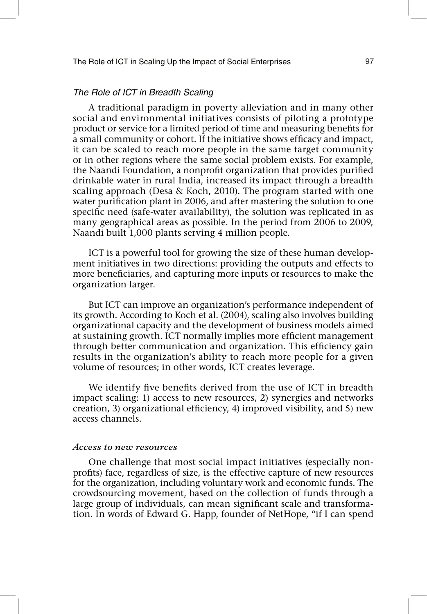# The Role of ICT in Breadth Scaling

A traditional paradigm in poverty alleviation and in many other social and environmental initiatives consists of piloting a prototype product or service for a limited period of time and measuring benefits for a small community or cohort. If the initiative shows efficacy and impact, it can be scaled to reach more people in the same target community or in other regions where the same social problem exists. For example, the Naandi Foundation, a nonprofit organization that provides purified drinkable water in rural India, increased its impact through a breadth scaling approach (Desa & Koch, 2010). The program started with one water purification plant in 2006, and after mastering the solution to one specific need (safe-water availability), the solution was replicated in as many geographical areas as possible. In the period from 2006 to 2009, Naandi built 1,000 plants serving 4 million people.

ICT is a powerful tool for growing the size of these human development initiatives in two directions: providing the outputs and effects to more bene ficiaries, and capturing more inputs or resources to make the organization larger.

But ICT can improve an organization's performance independent of its growth. According to Koch et al. (2004), scaling also involves building organizational capacity and the development of business models aimed at sustaining growth. ICT normally implies more efficient management through better communication and organization. This efficiency gain results in the organization's ability to reach more people for a given volume of resources; in other words, ICT creates leverage.

We identify five benefits derived from the use of ICT in breadth impact scaling: 1) access to new resources, 2) synergies and networks creation, 3) organizational efficiency, 4) improved visibility, and 5) new access channels.

#### *Access to new resources*

One challenge that most social impact initiatives (especially nonprofits) face, regardless of size, is the effective capture of new resources for the organization, including voluntary work and economic funds. The crowdsourcing movement, based on the collection of funds through a large group of individuals, can mean significant scale and transformation. In words of Edward G. Happ, founder of NetHope, "if I can spend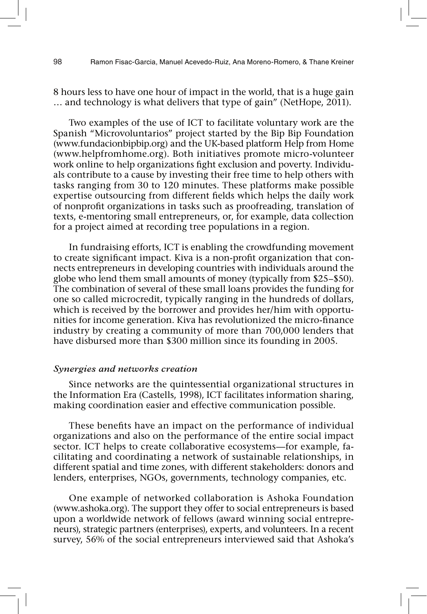8 hours less to have one hour of impact in the world, that is a huge gain … and technology is what delivers that type of gain" (NetHope, 2011).

Two examples of the use of ICT to facilitate voluntary work are the Spanish "Microvoluntarios" project started by the Bip Bip Foundation (www.fundacionbipbip.org) and the UK-based platform Help from Home (www.helpfromhome.org). Both initiatives promote micro-volunteer work online to help organizations fight exclusion and poverty. Individuals contribute to a cause by investing their free time to help others with tasks ranging from 30 to 120 minutes. These platforms make possible expertise outsourcing from different fields which helps the daily work of nonprofit organizations in tasks such as proofreading, translation of texts, e-mentoring small entrepreneurs, or, for example, data collection for a project aimed at recording tree populations in a region.

In fundraising efforts, ICT is enabling the crowdfunding movement to create significant impact. Kiva is a non-profit organization that connects entrepreneurs in developing countries with individuals around the globe who lend them small amounts of money (typically from \$25–\$50). The combination of several of these small loans provides the funding for one so called microcredit, typically ranging in the hundreds of dollars, which is received by the borrower and provides her/him with opportunities for income generation. Kiva has revolutionized the micro-finance industry by creating a community of more than 700,000 lenders that have disbursed more than \$300 million since its founding in 2005.

# *Synergies and networks creation*

Since networks are the quintessential organizational structures in the Information Era (Castells, 1998), ICT facilitates information sharing, making coordination easier and effective communication possible.

These benefits have an impact on the performance of individual organizations and also on the performance of the entire social impact sector. ICT helps to create collaborative ecosystems—for example, facilitating and coordinating a network of sustainable relationships, in different spatial and time zones, with different stakeholders: donors and lenders, enterprises, NGOs, governments, technology companies, etc.

One example of networked collaboration is Ashoka Foundation (www.ashoka.org). The support they offer to social entrepreneurs is based upon a worldwide network of fellows (award winning social entrepreneurs), strategic partners (enterprises), experts, and volunteers. In a recent survey, 56% of the social entrepreneurs interviewed said that Ashoka's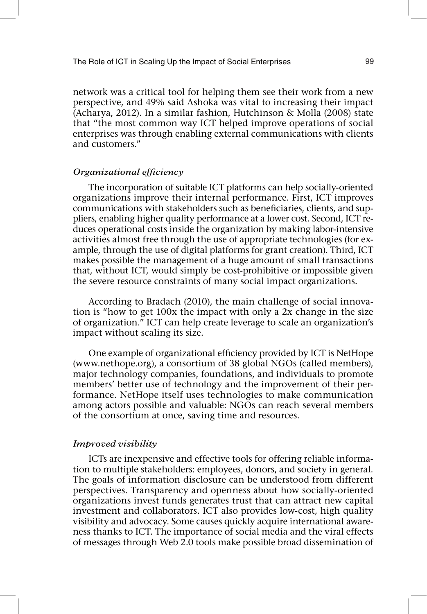network was a critical tool for helping them see their work from a new perspective, and 49% said Ashoka was vital to increasing their impact (Acharya, 2012). In a similar fashion, Hutchinson & Molla (2008) state that "the most common way ICT helped improve operations of social enterprises was through enabling external communications with clients and customers."

# *Organizational efficiency*

The incorporation of suitable ICT platforms can help socially-oriented organizations improve their internal performance. First, ICT improves communications with stakeholders such as beneficiaries, clients, and suppliers, enabling higher quality performance at a lower cost. Second, ICT reduces operational costs inside the organization by making labor-intensive activities almost free through the use of appropriate technologies (for example, through the use of digital platforms for grant creation). Third, ICT makes possible the management of a huge amount of small transactions that, without ICT, would simply be cost-prohibitive or impossible given the severe resource constraints of many social impact organizations.

According to Bradach (2010), the main challenge of social innovation is "how to get 100x the impact with only a 2x change in the size of organization." ICT can help create leverage to scale an organization's impact without scaling its size.

One example of organizational efficiency provided by ICT is NetHope (www.nethope.org), a consortium of 38 global NGOs (called members), major technology companies, foundations, and individuals to promote members' better use of technology and the improvement of their performance. NetHope itself uses technologies to make communication among actors possible and valuable: NGOs can reach several members of the consortium at once, saving time and resources.

#### *Improved visibility*

ICTs are inexpensive and effective tools for offering reliable information to multiple stakeholders: employees, donors, and society in general. The goals of information disclosure can be understood from different perspectives. Transparency and openness about how socially-oriented organizations invest funds generates trust that can attract new capital investment and collaborators. ICT also provides low-cost, high quality visibility and advocacy. Some causes quickly acquire international awareness thanks to ICT. The importance of social media and the viral effects of messages through Web 2.0 tools make possible broad dissemination of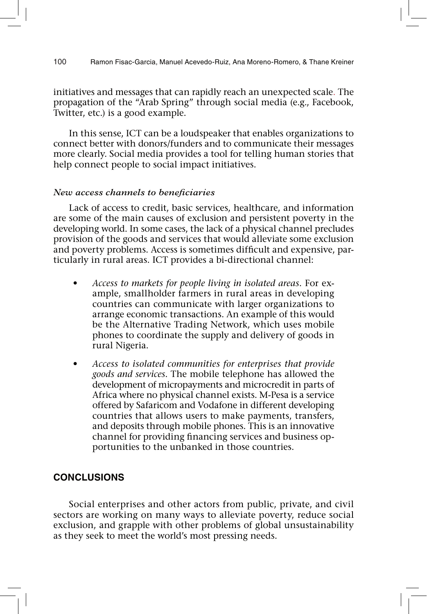initiatives and messages that can rapidly reach an unexpected scale. The propagation of the "Arab Spring" through social media (e.g., Facebook, Twitter, etc.) is a good example.

In this sense, ICT can be a loudspeaker that enables organizations to connect better with donors/funders and to communicate their messages more clearly. Social media provides a tool for telling human stories that help connect people to social impact initiatives.

# *New access channels to beneficiaries*

Lack of access to credit, basic services, healthcare, and information are some of the main causes of exclusion and persistent poverty in the developing world. In some cases, the lack of a physical channel precludes provision of the goods and services that would alleviate some exclusion and poverty problems. Access is sometimes difficult and expensive, particularly in rural areas. ICT provides a bi-directional channel:

- *t Access to markets for people living in isolated areas*. For example, smallholder farmers in rural areas in developing countries can communicate with larger organizations to arrange economic transactions. An example of this would be the Alternative Trading Network, which uses mobile phones to coordinate the supply and delivery of goods in rural Nigeria.
- *t Access to isolated communities for enterprises that provide goods and services*. The mobile telephone has allowed the development of micropayments and microcredit in parts of Africa where no physical channel exists. M-Pesa is a service offered by Safaricom and Vodafone in different developing countries that allows users to make payments, transfers, and deposits through mobile phones. This is an innovative channel for providing financing services and business opportunities to the unbanked in those countries.

# **CONCLUSIONS**

Social enterprises and other actors from public, private, and civil sectors are working on many ways to alleviate poverty, reduce social exclusion, and grapple with other problems of global unsustainability as they seek to meet the world's most pressing needs.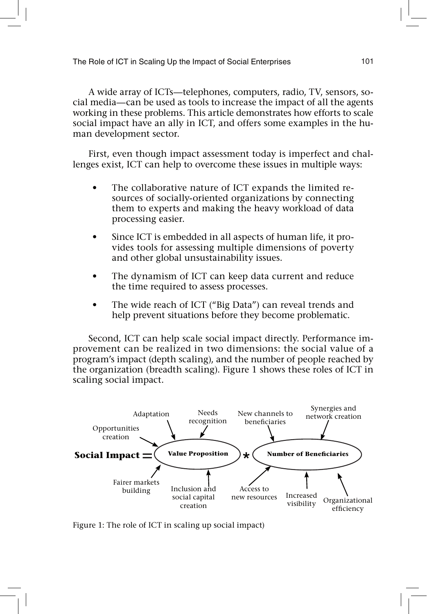A wide array of ICTs—telephones, computers, radio, TV, sensors, social media—can be used as tools to increase the impact of all the agents working in these problems. This article demonstrates how efforts to scale social impact have an ally in ICT, and offers some examples in the human development sector.

First, even though impact assessment today is imperfect and challenges exist, ICT can help to overcome these issues in multiple ways:

- The collaborative nature of ICT expands the limited resources of socially-oriented organizations by connecting them to experts and making the heavy workload of data processing easier.
- Since ICT is embedded in all aspects of human life, it provides tools for assessing multiple dimensions of poverty and other global unsustainability issues.
- The dynamism of ICT can keep data current and reduce the time required to assess processes.
- The wide reach of ICT ("Big Data") can reveal trends and help prevent situations before they become problematic.

Second, ICT can help scale social impact directly. Performance improvement can be realized in two dimensions: the social value of a program's impact (depth scaling), and the number of people reached by the organization (breadth scaling). Figure 1 shows these roles of ICT in scaling social impact.



Figure 1: The role of ICT in scaling up social impact)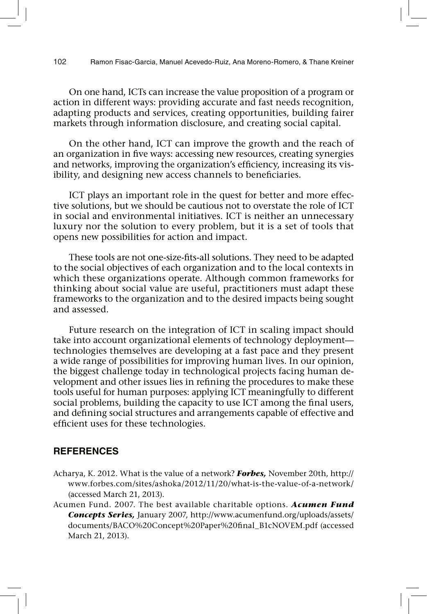On one hand, ICTs can increase the value proposition of a program or action in different ways: providing accurate and fast needs recognition, adapting products and services, creating opportunities, building fairer markets through information disclosure, and creating social capital.

On the other hand, ICT can improve the growth and the reach of an organization in five ways: accessing new resources, creating synergies and networks, improving the organization's efficiency, increasing its visibility, and designing new access channels to beneficiaries.

ICT plays an important role in the quest for better and more effective solutions, but we should be cautious not to overstate the role of ICT in social and environmental initiatives. ICT is neither an unnecessary luxury nor the solution to every problem, but it is a set of tools that opens new possibilities for action and impact.

These tools are not one-size-fits-all solutions. They need to be adapted to the social objectives of each organization and to the local contexts in which these organizations operate. Although common frameworks for thinking about social value are useful, practitioners must adapt these frameworks to the organization and to the desired impacts being sought and assessed.

Future research on the integration of ICT in scaling impact should take into account organizational elements of technology deployment technologies themselves are developing at a fast pace and they present a wide range of possibilities for improving human lives. In our opinion, the biggest challenge today in technological projects facing human development and other issues lies in refining the procedures to make these tools useful for human purposes: applying ICT meaningfully to different social problems, building the capacity to use ICT among the final users, and defining social structures and arrangements capable of effective and efficient uses for these technologies.

# **REFERENCES**

- Acharya, K. 2012. What is the value of a network? *Forbes,* November 20th, http:// www.forbes.com/sites/ashoka/2012/11/20/what-is-the-value-of-a-network/ (accessed March 21, 2013).
- Acumen Fund. 2007. The best available charitable options. *Acumen Fund Concepts Series,* January 2007, http://www.acumenfund.org/uploads/assets/ documents/BACO%20Concept%20Paper%20final\_B1cNOVEM.pdf (accessed March 21, 2013).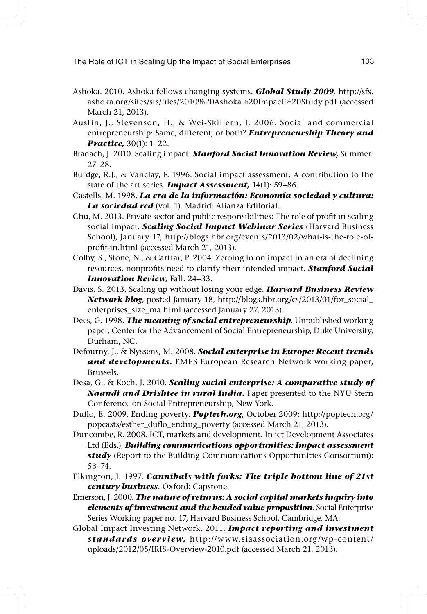- Ashoka. 2010. Ashoka fellows changing systems. *Global Study 2009,* http://sfs. ashoka.org/sites/sfs/files/2010%20Ashoka%20Impact%20Study.pdf (accessed March 21, 2013).
- Austin, J., Stevenson, H., & Wei-Skillern, J. 2006. Social and commercial entrepreneurship: Same, different, or both? *Entrepreneurship Theory and Practice,* 30(1): 1–22.
- Bradach, J. 2010. Scaling impact. *Stanford Social Innovation Review,* Summer: 27–28.
- Burdge, R.J., & Vanclay, F. 1996. Social impact assessment: A contribution to the state of the art series. *Impact Assessment,* 14(1): 59–86.
- Castells, M. 1998. *La era de la información: Economía sociedad y cultura: La sociedad red* (vol. 1). Madrid: Alianza Editorial.
- Chu, M. 2013. Private sector and public responsibilities: The role of profit in scaling social impact. *Scaling Social Impact Webinar Series* (Harvard Business School), January 17, http://blogs.hbr.org/events/2013/02/what-is-the-role-ofprofit-in.html (accessed March 21, 2013).
- Colby, S., Stone, N., & Carttar, P. 2004. Zeroing in on impact in an era of declining resources, nonprofits need to clarify their intended impact. Stanford Social *Innovation Review,* Fall: 24–33.
- Davis, S. 2013. Scaling up without losing your edge. *Harvard Business Review Network blog*, posted January 18, http://blogs.hbr.org/cs/2013/01/for\_social\_ enterprises\_size\_ma.html (accessed January 27, 2013).
- Dees, G. 1998. *The meaning of social entrepreneurship*. Unpublished working paper, Center for the Advancement of Social Entrepreneurship, Duke University, Durham, NC.
- Defourny, J., & Nyssens, M. 2008. *Social enterprise in Europe: Recent trends and developments.* EMES European Research Network working paper, Brussels.
- Desa, G., & Koch, J. 2010. *Scaling social enterprise: A comparative study of Naandi and Drishtee in rural India.* Paper presented to the NYU Stern Conference on Social Entrepreneurship, New York.
- Duflo, E. 2009. Ending poverty. Poptech.org, October 2009: http://poptech.org/ popcasts/esther\_duflo\_ending\_poverty (accessed March 21, 2013).
- Duncombe, R. 2008. ICT, markets and development. In ict Development Associates Ltd (Eds.), *Building communications opportunities: Impact assessment study* (Report to the Building Communications Opportunities Consortium): 53–74.
- Elkington, J. 1997. *Cannibals with forks: The triple bottom line of 21st century business*. Oxford: Capstone.
- Emerson, J. 2000. *The nature of returns: A social capital markets inquiry into elements of investment and the bended value proposition*. Social Enterprise Series Working paper no. 17, Harvard Business School, Cambridge, MA.
- Global Impact Investing Network. 2011. *Impact reporting and investment standards overview,* http://www.siaassociation.org/wp-content/ uploads/2012/05/IRIS-Overview-2010.pdf (accessed March 21, 2013).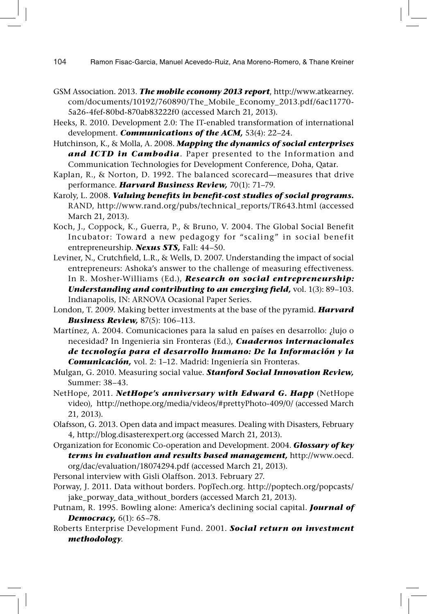104 Ramon Fisac-Garcia, Manuel Acevedo-Ruiz, Ana Moreno-Romero, & Thane Kreiner

- GSM Association. 2013. *The mobile economy 2013 report*, http://www.atkearney. com/documents/10192/760890/The\_Mobile\_Economy\_2013.pdf/6ac11770- 5a26-4fef-80bd-870ab83222f0 (accessed March 21, 2013).
- Heeks, R. 2010. Development 2.0: The IT-enabled transformation of international development. *Communications of the ACM,* 53(4): 22–24.
- Hutchinson, K., & Molla, A. 2008. *Mapping the dynamics of social enterprises and ICTD in Cambodia*. Paper presented to the Information and Communication Technologies for Development Conference, Doha, Qatar.
- Kaplan, R., & Norton, D. 1992. The balanced scorecard—measures that drive performance. *Harvard Business Review,* 70(1): 71–79.
- Karoly, L. 2008. *Valuing benefits in benefit-cost studies of social programs.* RAND, http://www.rand.org/pubs/technical\_reports/TR643.html (accessed March 21, 2013).
- Koch, J., Coppock, K., Guerra, P., & Bruno, V. 2004. The Global Social Benefit Incubator: Toward a new pedagogy for "scaling" in social benefit entrepreneurship. *Nexus STS,* Fall: 44–50.
- Leviner, N., Crutchfield, L.R., & Wells, D. 2007. Understanding the impact of social entrepreneurs: Ashoka's answer to the challenge of measuring effectiveness. In R. Mosher-Williams (Ed.), *Research on social entrepreneurship: Understanding and contributing to an emerging field, vol. 1(3): 89–103.* Indianapolis, IN: ARNOVA Ocasional Paper Series.
- London, T. 2009. Making better investments at the base of the pyramid. *Harvard Business Review,* 87(5): 106–113.
- Martínez, A. 2004. Comunicaciones para la salud en países en desarrollo: ¿lujo o necesidad? In Ingenieria sin Fronteras (Ed.), *Cuadernos internacionales de tecnología para el desarrollo humano: De la Información y la Comunicación,* vol. 2: 1–12. Madrid: Ingeniería sin Fronteras.
- Mulgan, G. 2010. Measuring social value. *Stanford Social Innovation Review,* Summer: 38–43.
- NetHope, 2011. *NetHope's anniversary with Edward G. Happ* (NetHope video), http://nethope.org/media/videos/#prettyPhoto-409/0/ (accessed March 21, 2013).
- Olafsson, G. 2013. Open data and impact measures. Dealing with Disasters, February 4, http://blog.disasterexpert.org (accessed March 21, 2013).
- Organization for Economic Co-operation and Development. 2004. *Glossary of key terms in evaluation and results based management,* http://www.oecd. org/dac/evaluation/18074294.pdf (accessed March 21, 2013).
- Personal interview with Gisli Olaffson. 2013. February 27.
- Porway, J. 2011. Data without borders. PopTech.org. http://poptech.org/popcasts/ jake\_porway\_data\_without\_borders (accessed March 21, 2013).
- Putnam, R. 1995. Bowling alone: America's declining social capital. *Journal of Democracy,* 6(1): 65–78.
- Roberts Enterprise Development Fund. 2001. *Social return on investment methodology*.